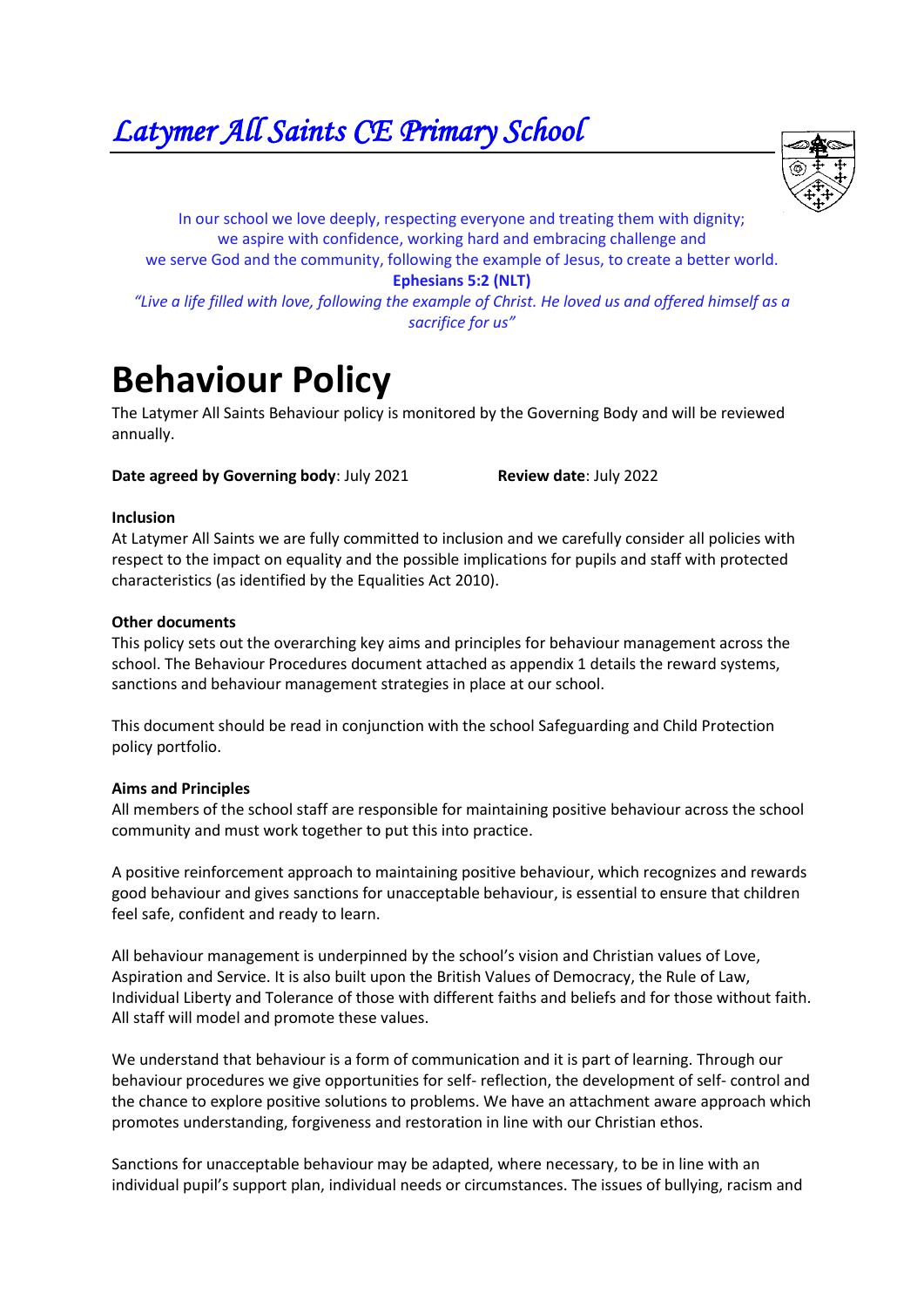*Latymer All Saints CE Primary School* 



In our school we love deeply, respecting everyone and treating them with dignity; we aspire with confidence, working hard and embracing challenge and we serve God and the community, following the example of Jesus, to create a better world.

**Ephesians 5:2 (NLT)**

*"Live a life filled with love, following the example of Christ. He loved us and offered himself as a sacrifice for us"*

# **Behaviour Policy**

The Latymer All Saints Behaviour policy is monitored by the Governing Body and will be reviewed annually.

**Date agreed by Governing body: July 2021 Review date: July 2022** 

## **Inclusion**

At Latymer All Saints we are fully committed to inclusion and we carefully consider all policies with respect to the impact on equality and the possible implications for pupils and staff with protected characteristics (as identified by the Equalities Act 2010).

## **Other documents**

This policy sets out the overarching key aims and principles for behaviour management across the school. The Behaviour Procedures document attached as appendix 1 details the reward systems, sanctions and behaviour management strategies in place at our school.

This document should be read in conjunction with the school Safeguarding and Child Protection policy portfolio.

#### **Aims and Principles**

All members of the school staff are responsible for maintaining positive behaviour across the school community and must work together to put this into practice.

A positive reinforcement approach to maintaining positive behaviour, which recognizes and rewards good behaviour and gives sanctions for unacceptable behaviour, is essential to ensure that children feel safe, confident and ready to learn.

All behaviour management is underpinned by the school's vision and Christian values of Love, Aspiration and Service. It is also built upon the British Values of Democracy, the Rule of Law, Individual Liberty and Tolerance of those with different faiths and beliefs and for those without faith. All staff will model and promote these values.

We understand that behaviour is a form of communication and it is part of learning. Through our behaviour procedures we give opportunities for self- reflection, the development of self- control and the chance to explore positive solutions to problems. We have an attachment aware approach which promotes understanding, forgiveness and restoration in line with our Christian ethos.

Sanctions for unacceptable behaviour may be adapted, where necessary, to be in line with an individual pupil's support plan, individual needs or circumstances. The issues of bullying, racism and